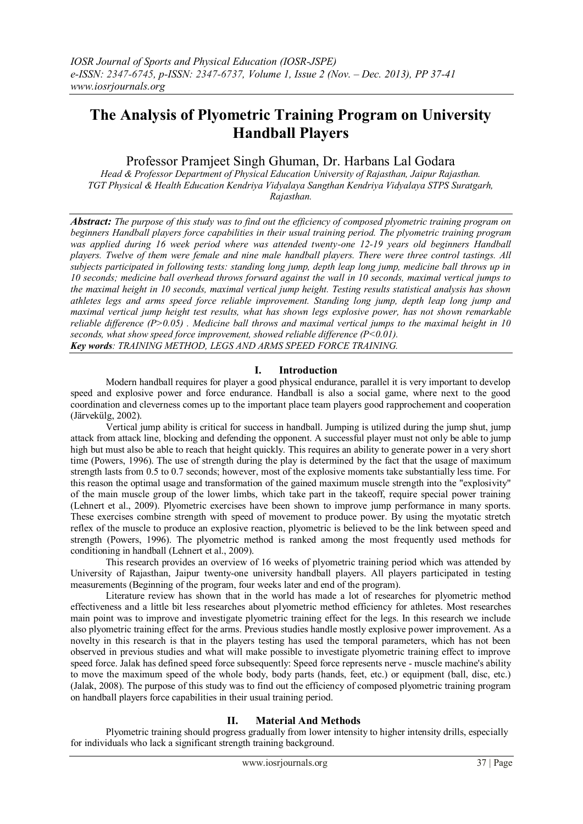# **The Analysis of Plyometric Training Program on University Handball Players**

Professor Pramjeet Singh Ghuman, Dr. Harbans Lal Godara

*Head & Professor Department of Physical Education University of Rajasthan, Jaipur Rajasthan. TGT Physical & Health Education Kendriya Vidyalaya Sangthan Kendriya Vidyalaya STPS Suratgarh, Rajasthan.*

*Abstract: The purpose of this study was to find out the efficiency of composed plyometric training program on beginners Handball players force capabilities in their usual training period. The plyometric training program*  was applied during 16 week period where was attended twenty-one 12-19 years old beginners Handball *players. Twelve of them were female and nine male handball players. There were three control tastings. All subjects participated in following tests: standing long jump, depth leap long jump, medicine ball throws up in 10 seconds; medicine ball overhead throws forward against the wall in 10 seconds, maximal vertical jumps to the maximal height in 10 seconds, maximal vertical jump height. Testing results statistical analysis has shown athletes legs and arms speed force reliable improvement. Standing long jump, depth leap long jump and maximal vertical jump height test results, what has shown legs explosive power, has not shown remarkable reliable difference (P>0.05) . Medicine ball throws and maximal vertical jumps to the maximal height in 10 seconds, what show speed force improvement, showed reliable difference (P<0.01). Key words: TRAINING METHOD, LEGS AND ARMS SPEED FORCE TRAINING.*

# **I. Introduction**

Modern handball requires for player a good physical endurance, parallel it is very important to develop speed and explosive power and force endurance. Handball is also a social game, where next to the good coordination and cleverness comes up to the important place team players good rapprochement and cooperation (Järvekülg, 2002).

Vertical jump ability is critical for success in handball. Jumping is utilized during the jump shut, jump attack from attack line, blocking and defending the opponent. A successful player must not only be able to jump high but must also be able to reach that height quickly. This requires an ability to generate power in a very short time (Powers, 1996). The use of strength during the play is determined by the fact that the usage of maximum strength lasts from 0.5 to 0.7 seconds; however, most of the explosive moments take substantially less time. For this reason the optimal usage and transformation of the gained maximum muscle strength into the "explosivity" of the main muscle group of the lower limbs, which take part in the takeoff, require special power training (Lehnert et al., 2009). Plyometric exercises have been shown to improve jump performance in many sports. These exercises combine strength with speed of movement to produce power. By using the myotatic stretch reflex of the muscle to produce an explosive reaction, plyometric is believed to be the link between speed and strength (Powers, 1996). The plyometric method is ranked among the most frequently used methods for conditioning in handball (Lehnert et al., 2009).

This research provides an overview of 16 weeks of plyometric training period which was attended by University of Rajasthan, Jaipur twenty-one university handball players. All players participated in testing measurements (Beginning of the program, four weeks later and end of the program).

Literature review has shown that in the world has made a lot of researches for plyometric method effectiveness and a little bit less researches about plyometric method efficiency for athletes. Most researches main point was to improve and investigate plyometric training effect for the legs. In this research we include also plyometric training effect for the arms. Previous studies handle mostly explosive power improvement. As a novelty in this research is that in the players testing has used the temporal parameters, which has not been observed in previous studies and what will make possible to investigate plyometric training effect to improve speed force. Jalak has defined speed force subsequently: Speed force represents nerve - muscle machine's ability to move the maximum speed of the whole body, body parts (hands, feet, etc.) or equipment (ball, disc, etc.) (Jalak, 2008). The purpose of this study was to find out the efficiency of composed plyometric training program on handball players force capabilities in their usual training period.

## **II. Material And Methods**

Plyometric training should progress gradually from lower intensity to higher intensity drills, especially for individuals who lack a significant strength training background.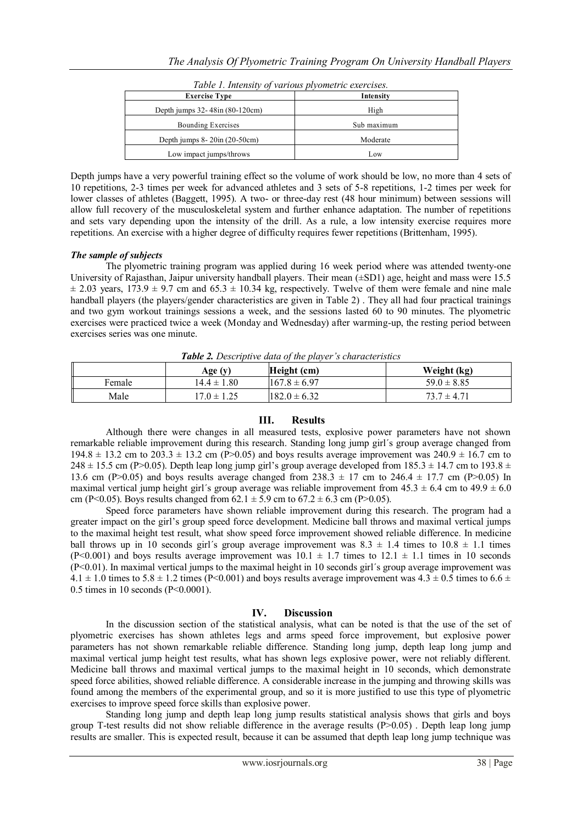| <b>Exercise Type</b>                      | Intensity   |  |
|-------------------------------------------|-------------|--|
| Depth jumps 32-48in (80-120cm)            | High        |  |
| Bounding Exercises                        | Sub maximum |  |
| Depth jumps $8 - 20$ in $(20 - 50$ cm $)$ | Moderate    |  |
| Low impact jumps/throws                   | Low         |  |
|                                           |             |  |

*Table 1. Intensity of various plyometric exercises.*

Depth jumps have a very powerful training effect so the volume of work should be low, no more than 4 sets of 10 repetitions, 2-3 times per week for advanced athletes and 3 sets of 5-8 repetitions, 1-2 times per week for lower classes of athletes (Baggett, 1995). A two- or three-day rest (48 hour minimum) between sessions will allow full recovery of the musculoskeletal system and further enhance adaptation. The number of repetitions and sets vary depending upon the intensity of the drill. As a rule, a low intensity exercise requires more repetitions. An exercise with a higher degree of difficulty requires fewer repetitions (Brittenham, 1995).

## *The sample of subjects*

The plyometric training program was applied during 16 week period where was attended twenty-one University of Rajasthan, Jaipur university handball players. Their mean ( $\pm$ SD1) age, height and mass were 15.5  $\pm$  2.03 years, 173.9  $\pm$  9.7 cm and 65.3  $\pm$  10.34 kg, respectively. Twelve of them were female and nine male handball players (the players/gender characteristics are given in Table 2) . They all had four practical trainings and two gym workout trainings sessions a week, and the sessions lasted 60 to 90 minutes. The plyometric exercises were practiced twice a week (Monday and Wednesday) after warming-up, the resting period between exercises series was one minute.

|        | Age (y)         | Height (cm)       | Weight (kg)     |
|--------|-----------------|-------------------|-----------------|
| Female | $14.4 \pm 1.80$ | $1167.8 \pm 6.97$ | $59.0 \pm 8.85$ |
| Male   | $17.0 \pm 1.25$ | $182.0 \pm 6.32$  | $73.7 \pm 4.71$ |

*Table 2. Descriptive data of the player's characteristics*

## **III. Results**

Although there were changes in all measured tests, explosive power parameters have not shown remarkable reliable improvement during this research. Standing long jump girl´s group average changed from 194.8  $\pm$  13.2 cm to 203.3  $\pm$  13.2 cm (P>0.05) and boys results average improvement was 240.9  $\pm$  16.7 cm to  $248 \pm 15.5$  cm (P>0.05). Depth leap long jump girl's group average developed from  $185.3 \pm 14.7$  cm to  $193.8 \pm 14.7$ 13.6 cm (P>0.05) and boys results average changed from  $238.3 \pm 17$  cm to  $246.4 \pm 17.7$  cm (P>0.05) In maximal vertical jump height girl's group average was reliable improvement from  $45.3 \pm 6.4$  cm to  $49.9 \pm 6.0$ cm (P<0.05). Boys results changed from  $62.1 \pm 5.9$  cm to  $67.2 \pm 6.3$  cm (P>0.05).

Speed force parameters have shown reliable improvement during this research. The program had a greater impact on the girl's group speed force development. Medicine ball throws and maximal vertical jumps to the maximal height test result, what show speed force improvement showed reliable difference. In medicine ball throws up in 10 seconds girl's group average improvement was  $8.3 \pm 1.4$  times to  $10.8 \pm 1.1$  times (P<0.001) and boys results average improvement was  $10.1 \pm 1.7$  times to  $12.1 \pm 1.1$  times in 10 seconds (P<0.01). In maximal vertical jumps to the maximal height in 10 seconds girl´s group average improvement was  $4.1 \pm 1.0$  times to  $5.8 \pm 1.2$  times (P<0.001) and boys results average improvement was  $4.3 \pm 0.5$  times to  $6.6 \pm 1.2$ 0.5 times in 10 seconds (P<0.0001).

## **IV. Discussion**

In the discussion section of the statistical analysis, what can be noted is that the use of the set of plyometric exercises has shown athletes legs and arms speed force improvement, but explosive power parameters has not shown remarkable reliable difference. Standing long jump, depth leap long jump and maximal vertical jump height test results, what has shown legs explosive power, were not reliably different. Medicine ball throws and maximal vertical jumps to the maximal height in 10 seconds, which demonstrate speed force abilities, showed reliable difference. A considerable increase in the jumping and throwing skills was found among the members of the experimental group, and so it is more justified to use this type of plyometric exercises to improve speed force skills than explosive power.

Standing long jump and depth leap long jump results statistical analysis shows that girls and boys group T-test results did not show reliable difference in the average results  $(P>0.05)$ . Depth leap long jump results are smaller. This is expected result, because it can be assumed that depth leap long jump technique was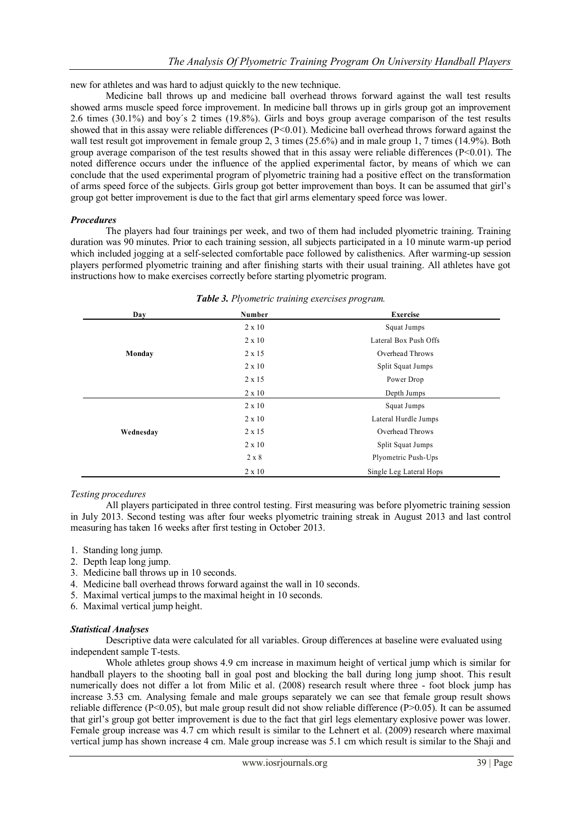new for athletes and was hard to adjust quickly to the new technique.

Medicine ball throws up and medicine ball overhead throws forward against the wall test results showed arms muscle speed force improvement. In medicine ball throws up in girls group got an improvement 2.6 times (30.1%) and boy´s 2 times (19.8%). Girls and boys group average comparison of the test results showed that in this assay were reliable differences (P<0.01). Medicine ball overhead throws forward against the wall test result got improvement in female group 2, 3 times (25.6%) and in male group 1, 7 times (14.9%). Both group average comparison of the test results showed that in this assay were reliable differences (P<0.01). The noted difference occurs under the influence of the applied experimental factor, by means of which we can conclude that the used experimental program of plyometric training had a positive effect on the transformation of arms speed force of the subjects. Girls group got better improvement than boys. It can be assumed that girl's group got better improvement is due to the fact that girl arms elementary speed force was lower.

## *Procedures*

The players had four trainings per week, and two of them had included plyometric training. Training duration was 90 minutes. Prior to each training session, all subjects participated in a 10 minute warm-up period which included jogging at a self-selected comfortable pace followed by calisthenics. After warming-up session players performed plyometric training and after finishing starts with their usual training. All athletes have got instructions how to make exercises correctly before starting plyometric program.

| Day       | Number        | <b>Exercise</b>         |
|-----------|---------------|-------------------------|
|           | $2 \times 10$ | Squat Jumps             |
|           | $2 \times 10$ | Lateral Box Push Offs   |
| Monday    | $2 \times 15$ | Overhead Throws         |
|           | $2 \times 10$ | Split Squat Jumps       |
|           | $2 \times 15$ | Power Drop              |
|           | $2 \times 10$ | Depth Jumps             |
|           | $2 \times 10$ | Squat Jumps             |
|           | $2 \times 10$ | Lateral Hurdle Jumps    |
| Wednesday | $2 \times 15$ | Overhead Throws         |
|           | $2 \times 10$ | Split Squat Jumps       |
|           | $2 \times 8$  | Plyometric Push-Ups     |
|           | $2 \times 10$ | Single Leg Lateral Hops |

## *Table 3. Plyometric training exercises program.*

## *Testing procedures*

All players participated in three control testing. First measuring was before plyometric training session in July 2013. Second testing was after four weeks plyometric training streak in August 2013 and last control measuring has taken 16 weeks after first testing in October 2013.

- 1. Standing long jump.
- 2. Depth leap long jump.
- 3. Medicine ball throws up in 10 seconds.
- 4. Medicine ball overhead throws forward against the wall in 10 seconds.
- 5. Maximal vertical jumps to the maximal height in 10 seconds.
- 6. Maximal vertical jump height.

## *Statistical Analyses*

Descriptive data were calculated for all variables. Group differences at baseline were evaluated using independent sample T-tests.

Whole athletes group shows 4.9 cm increase in maximum height of vertical jump which is similar for handball players to the shooting ball in goal post and blocking the ball during long jump shoot. This result numerically does not differ a lot from Milic et al. (2008) research result where three - foot block jump has increase 3.53 cm. Analysing female and male groups separately we can see that female group result shows reliable difference (P<0.05), but male group result did not show reliable difference (P>0.05). It can be assumed that girl's group got better improvement is due to the fact that girl legs elementary explosive power was lower. Female group increase was 4.7 cm which result is similar to the Lehnert et al. (2009) research where maximal vertical jump has shown increase 4 cm. Male group increase was 5.1 cm which result is similar to the Shaji and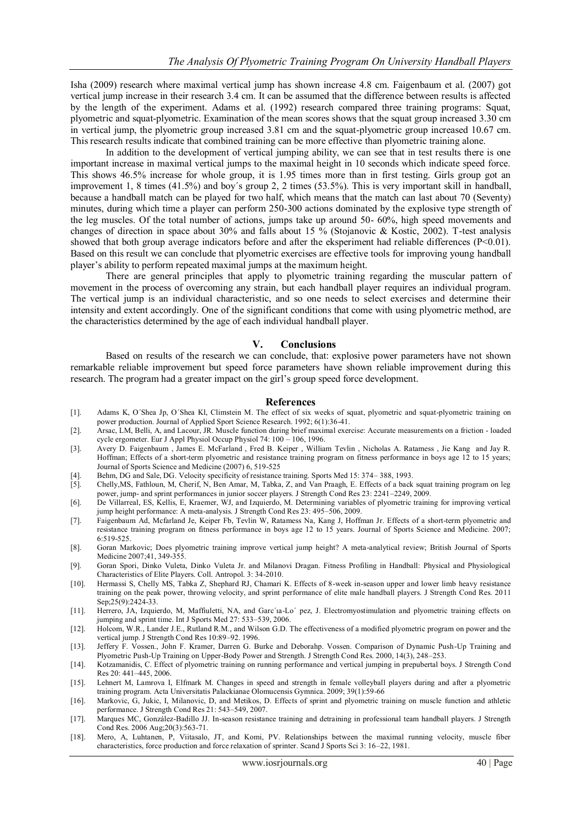Isha (2009) research where maximal vertical jump has shown increase 4.8 cm. Faigenbaum et al. (2007) got vertical jump increase in their research 3.4 cm. It can be assumed that the difference between results is affected by the length of the experiment. Adams et al. (1992) research compared three training programs: Squat, plyometric and squat-plyometric. Examination of the mean scores shows that the squat group increased 3.30 cm in vertical jump, the plyometric group increased 3.81 cm and the squat-plyometric group increased 10.67 cm. This research results indicate that combined training can be more effective than plyometric training alone.

In addition to the development of vertical jumping ability, we can see that in test results there is one important increase in maximal vertical jumps to the maximal height in 10 seconds which indicate speed force. This shows 46.5% increase for whole group, it is 1.95 times more than in first testing. Girls group got an improvement 1, 8 times (41.5%) and boy´s group 2, 2 times (53.5%). This is very important skill in handball, because a handball match can be played for two half, which means that the match can last about 70 (Seventy) minutes, during which time a player can perform 250-300 actions dominated by the explosive type strength of the leg muscles. Of the total number of actions, jumps take up around 50- 60%, high speed movements and changes of direction in space about 30% and falls about 15 % (Stojanovic & Kostic, 2002). T-test analysis showed that both group average indicators before and after the eksperiment had reliable differences (P<0.01). Based on this result we can conclude that plyometric exercises are effective tools for improving young handball player's ability to perform repeated maximal jumps at the maximum height.

There are general principles that apply to plyometric training regarding the muscular pattern of movement in the process of overcoming any strain, but each handball player requires an individual program. The vertical jump is an individual characteristic, and so one needs to select exercises and determine their intensity and extent accordingly. One of the significant conditions that come with using plyometric method, are the characteristics determined by the age of each individual handball player.

#### **V. Conclusions**

Based on results of the research we can conclude, that: explosive power parameters have not shown remarkable reliable improvement but speed force parameters have shown reliable improvement during this research. The program had a greater impact on the girl's group speed force development.

#### **References**

- [1]. Adams K, O´Shea Jp, O´Shea Kl, Climstein M. The effect of six weeks of squat, plyometric and squat-plyometric training on power production. Journal of Applied Sport Science Research. 1992; 6(1):36-41.
- [2]. Arsac, LM, Belli, A, and Lacour, JR. Muscle function during brief maximal exercise: Accurate measurements on a friction loaded cycle ergometer. Eur J Appl Physiol Occup Physiol 74: 100 – 106, 1996.
- [3]. Avery D. Faigenbaum , James E. McFarland , Fred B. Keiper , William Tevlin , Nicholas A. Ratamess , Jie Kang and Jay R. Hoffman; Effects of a short-term plyometric and resistance training program on fitness performance in boys age 12 to 15 years; Journal of Sports Science and Medicine (2007) 6, 519-525
- [4]. Behm, DG and Sale, DG. Velocity specificity of resistance training. Sports Med 15: 374– 388, 1993.
- [5]. Chelly,MS, Fathloun, M, Cherif, N, Ben Amar, M, Tabka, Z, and Van Praagh, E. Effects of a back squat training program on leg power, jump- and sprint performances in junior soccer players. J Strength Cond Res 23: 2241–2249, 2009.
- [6]. De Villarreal, ES, Kellis, E, Kraemer, WJ, and Izquierdo, M. Determining variables of plyometric training for improving vertical jump height performance: A meta-analysis. J Strength Cond Res 23: 495–506, 2009.
- [7]. Faigenbaum Ad, Mcfarland Je, Keiper Fb, Tevlin W, Ratamess Na, Kang J, Hoffman Jr. Effects of a short-term plyometric and resistance training program on fitness performance in boys age 12 to 15 years. Journal of Sports Science and Medicine. 2007; 6:519-525.
- [8]. Goran Markovic; Does plyometric training improve vertical jump height? A meta-analytical review; British Journal of Sports Medicine 2007;41, 349-355.
- [9]. Goran Spori, Dinko Vuleta, Dinko Vuleta Jr. and Milanovi Dragan. Fitness Profiling in Handball: Physical and Physiological Characteristics of Elite Players. Coll. Antropol. 3: 34-2010.
- [10]. Hermassi S, Chelly MS, Tabka Z, Shephard RJ, Chamari K. Effects of 8-week in-season upper and lower limb heavy resistance training on the peak power, throwing velocity, and sprint performance of elite male handball players. J Strength Cond Res. 2011 Sep; 25(9): 2424-33.
- [11]. Herrero, JA, Izquierdo, M, Maffiuletti, NA, and Garc'ia-Lo' pez, J. Electromyostimulation and plyometric training effects on jumping and sprint time. Int J Sports Med 27: 533–539, 2006.
- [12]. Holcom, W.R., Lander J.E., Rutland R.M., and Wilson G.D. The effectiveness of a modified plyometric program on power and the vertical jump. J Strength Cond Res 10:89–92. 1996.
- [13]. Jeffery F. Vossen., John F. Kramer, Darren G. Burke and Deborahp. Vossen. Comparison of Dynamic Push-Up Training and Plyometric Push-Up Training on Upper-Body Power and Strength. J Strength Cond Res. 2000, 14(3), 248–253.
- [14]. Kotzamanidis, C. Effect of plyometric training on running performance and vertical jumping in prepubertal boys. J Strength Cond  $Res 20: 441 - 445, 2006$
- [15]. Lehnert M, Lamrova I, Elfmark M. Changes in speed and strength in female volleyball players during and after a plyometric training program. Acta Universitatis Palackianae Olomucensis Gymnica. 2009; 39(1):59-66
- [16]. Markovic, G, Jukic, I, Milanovic, D, and Metikos, D. Effects of sprint and plyometric training on muscle function and athletic performance. J Strength Cond Res 21: 543–549, 2007.
- [17]. Marques MC, González-Badillo JJ. In-season resistance training and detraining in professional team handball players. J Strength Cond Res. 2006 Aug;20(3):563-71.
- [18]. Mero, A, Luhtanen, P, Viitasalo, JT, and Komi, PV. Relationships between the maximal running velocity, muscle fiber characteristics, force production and force relaxation of sprinter. Scand J Sports Sci 3: 16–22, 1981.